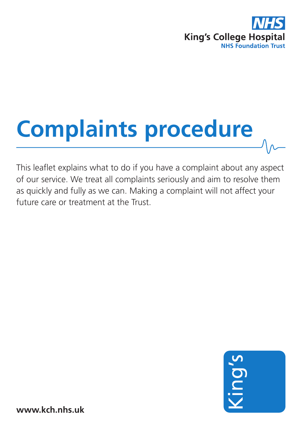

# **Complaints procedure**

This leaflet explains what to do if you have a complaint about any aspect of our service. We treat all complaints seriously and aim to resolve them as quickly and fully as we can. Making a complaint will not affect your future care or treatment at the Trust.



**www.kch.nhs.uk**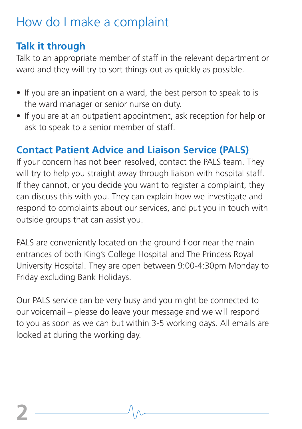# How do I make a complaint

## **Talk it through**

Talk to an appropriate member of staff in the relevant department or ward and they will try to sort things out as quickly as possible.

- If you are an inpatient on a ward, the best person to speak to is the ward manager or senior nurse on duty.
- If you are at an outpatient appointment, ask reception for help or ask to speak to a senior member of staff.

## **Contact Patient Advice and Liaison Service (PALS)**

If your concern has not been resolved, contact the PALS team. They will try to help you straight away through liaison with hospital staff. If they cannot, or you decide you want to register a complaint, they can discuss this with you. They can explain how we investigate and respond to complaints about our services, and put you in touch with outside groups that can assist you.

PALS are conveniently located on the ground floor near the main entrances of both King's College Hospital and The Princess Royal University Hospital. They are open between 9:00-4:30pm Monday to Friday excluding Bank Holidays.

Our PALS service can be very busy and you might be connected to our voicemail – please do leave your message and we will respond to you as soon as we can but within 3-5 working days. All emails are looked at during the working day.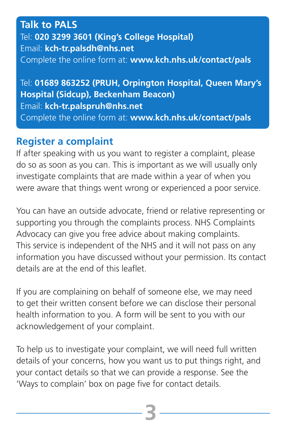#### **Talk to PALS** Tel: **020 3299 3601 (King's College Hospital)** Email: **kch-tr.palsdh@nhs.net** Complete the online form at: **www.kch.nhs.uk/contact/pals**

Tel: **01689 863252 (PRUH, Orpington Hospital, Queen Mary's Hospital (Sidcup), Beckenham Beacon)** Email: **kch-tr.palspruh@nhs.net** Complete the online form at: **www.kch.nhs.uk/contact/pals**

#### **Register a complaint**

If after speaking with us you want to register a complaint, please do so as soon as you can. This is important as we will usually only investigate complaints that are made within a year of when you were aware that things went wrong or experienced a poor service.

You can have an outside advocate, friend or relative representing or supporting you through the complaints process. NHS Complaints Advocacy can give you free advice about making complaints. This service is independent of the NHS and it will not pass on any information you have discussed without your permission. Its contact details are at the end of this leaflet.

If you are complaining on behalf of someone else, we may need to get their written consent before we can disclose their personal health information to you. A form will be sent to you with our acknowledgement of your complaint.

To help us to investigate your complaint, we will need full written details of your concerns, how you want us to put things right, and your contact details so that we can provide a response. See the 'Ways to complain' box on page five for contact details.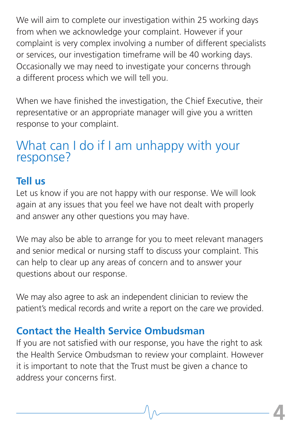We will aim to complete our investigation within 25 working days from when we acknowledge your complaint. However if your complaint is very complex involving a number of different specialists or services, our investigation timeframe will be 40 working days. Occasionally we may need to investigate your concerns through a different process which we will tell you.

When we have finished the investigation, the Chief Executive, their representative or an appropriate manager will give you a written response to your complaint.

# What can I do if I am unhappy with your response?

#### **Tell us**

Let us know if you are not happy with our response. We will look again at any issues that you feel we have not dealt with properly and answer any other questions you may have.

We may also be able to arrange for you to meet relevant managers and senior medical or nursing staff to discuss your complaint. This can help to clear up any areas of concern and to answer your questions about our response.

We may also agree to ask an independent clinician to review the patient's medical records and write a report on the care we provided.

## **Contact the Health Service Ombudsman**

If you are not satisfied with our response, you have the right to ask the Health Service Ombudsman to review your complaint. However it is important to note that the Trust must be given a chance to address your concerns first.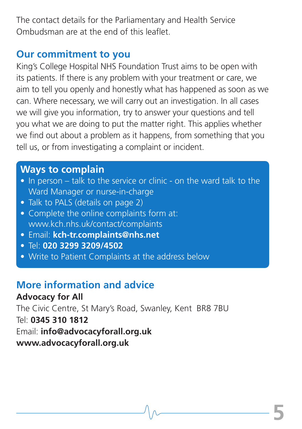The contact details for the Parliamentary and Health Service Ombudsman are at the end of this leaflet.

#### **Our commitment to you**

King's College Hospital NHS Foundation Trust aims to be open with its patients. If there is any problem with your treatment or care, we aim to tell you openly and honestly what has happened as soon as we can. Where necessary, we will carry out an investigation. In all cases we will give you information, try to answer your questions and tell you what we are doing to put the matter right. This applies whether we find out about a problem as it happens, from something that you tell us, or from investigating a complaint or incident.

#### **Ways to complain**

- In person talk to the service or clinic on the ward talk to the Ward Manager or nurse-in-charge
- Talk to PALS (details on page 2)
- Complete the online complaints form at: www.kch.nhs.uk/contact/complaints
- Email: **kch-tr.complaints@nhs.net**
- Tel: **020 3299 3209/4502**
- **•** Write to Patient Complaints at the address below

## **More information and advice**

**Advocacy for All** The Civic Centre, St Mary's Road, Swanley, Kent BR8 7BU Tel: **0345 310 1812** Email: **info@advocacyforall.org.uk www.advocacyforall.org.uk**

**5**